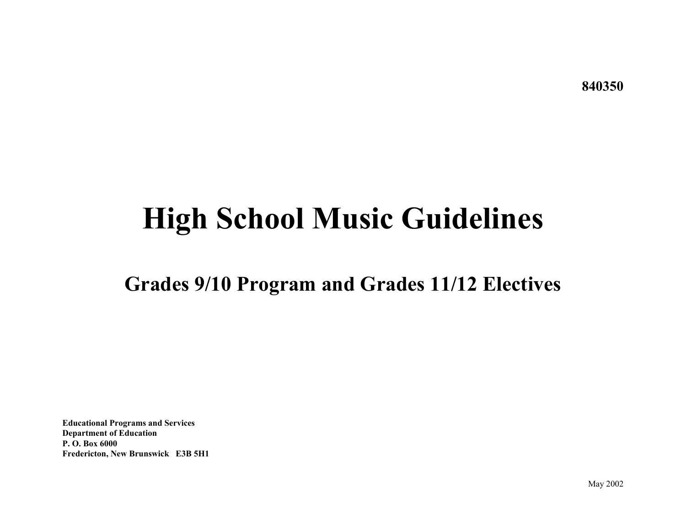**840350** 

# **High School Music Guidelines**

# **Grades 9/10 Program and Grades 11/12 Electives**

**Educational Programs and Services Department of Education P. O. Box 6000 Fredericton, New Brunswick E3B 5H1**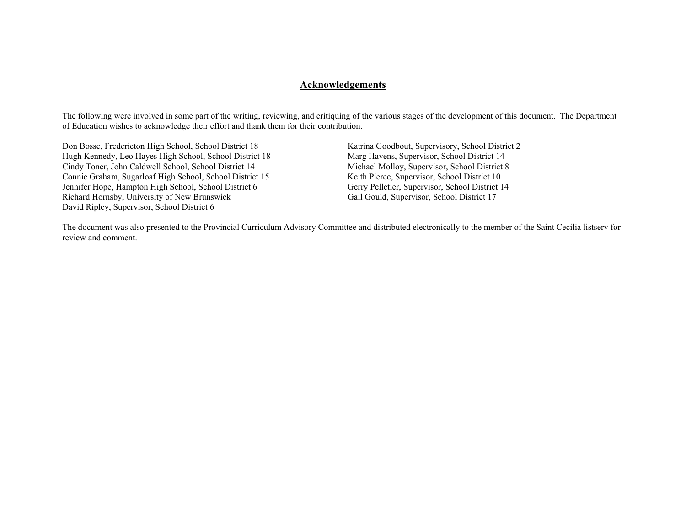#### **Acknowledgements**

The following were involved in some part of the writing, reviewing, and critiquing of the various stages of the development of this document. The Department of Education wishes to acknowledge their effort and thank them for their contribution.

Don Bosse, Fredericton High School, School District 18 Katrina Goodbout, Supervisory, School District 2<br>
Hugh Kennedy, Leo Hayes High School, School District 18 Marg Havens, Supervisor, School District 14 Hugh Kennedy, Leo Hayes High School, School District 18 Marg Havens, Supervisor, School District 14<br>Cindy Toner, John Caldwell School, School District 14 Michael Molloy, Supervisor, School District 8 Cindy Toner, John Caldwell School, School District 14 Michael Molloy, Supervisor, School District 16 Michael Molloy, Supervisor, School District 10 Connie Graham, Sugarloaf High School, School District 15 Jennifer Hope, Hampton High School, School District 6 Gerry Pelletier, Supervisor, School District 14<br>Richard Hornsby, University of New Brunswick Gail Gould, Supervisor, School District 17 Richard Hornsby, University of New Brunswick David Ripley, Supervisor, School District 6

The document was also presented to the Provincial Curriculum Advisory Committee and distributed electronically to the member of the Saint Cecilia listserv for review and comment.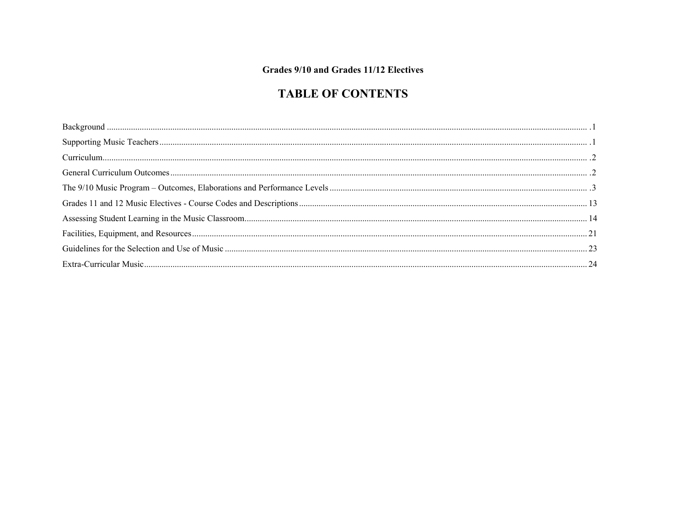## Grades 9/10 and Grades 11/12 Electives

# **TABLE OF CONTENTS**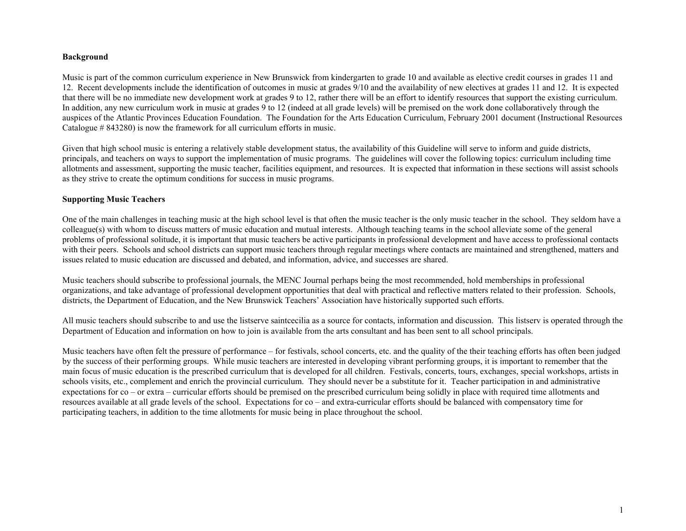#### **Background**

Music is part of the common curriculum experience in New Brunswick from kindergarten to grade 10 and available as elective credit courses in grades 11 and 12. Recent developments include the identification of outcomes in music at grades 9/10 and the availability of new electives at grades 11 and 12. It is expected that there will be no immediate new development work at grades 9 to 12, rather there will be an effort to identify resources that support the existing curriculum. In addition, any new curriculum work in music at grades 9 to 12 (indeed at all grade levels) will be premised on the work done collaboratively through the auspices of the Atlantic Provinces Education Foundation. The Foundation for the Arts Education Curriculum, February 2001 document (Instructional Resources Catalogue # 843280) is now the framework for all curriculum efforts in music.

Given that high school music is entering a relatively stable development status, the availability of this Guideline will serve to inform and guide districts, principals, and teachers on ways to support the implementation of music programs. The guidelines will cover the following topics: curriculum including time allotments and assessment, supporting the music teacher, facilities equipment, and resources. It is expected that information in these sections will assist schools as they strive to create the optimum conditions for success in music programs.

#### **Supporting Music Teachers**

One of the main challenges in teaching music at the high school level is that often the music teacher is the only music teacher in the school. They seldom have a colleague(s) with whom to discuss matters of music education and mutual interests. Although teaching teams in the school alleviate some of the general problems of professional solitude, it is important that music teachers be active participants in professional development and have access to professional contacts with their peers. Schools and school districts can support music teachers through regular meetings where contacts are maintained and strengthened, matters and issues related to music education are discussed and debated, and information, advice, and successes are shared.

Music teachers should subscribe to professional journals, the MENC Journal perhaps being the most recommended, hold memberships in professional organizations, and take advantage of professional development opportunities that deal with practical and reflective matters related to their profession. Schools, districts, the Department of Education, and the New Brunswick Teachers' Association have historically supported such efforts.

All music teachers should subscribe to and use the listserve saintcecilia as a source for contacts, information and discussion. This listserv is operated through the Department of Education and information on how to join is available from the arts consultant and has been sent to all school principals.

Music teachers have often felt the pressure of performance – for festivals, school concerts, etc. and the quality of the their teaching efforts has often been judged by the success of their performing groups. While music teachers are interested in developing vibrant performing groups, it is important to remember that the main focus of music education is the prescribed curriculum that is developed for all children. Festivals, concerts, tours, exchanges, special workshops, artists in schools visits, etc., complement and enrich the provincial curriculum. They should never be a substitute for it. Teacher participation in and administrative expectations for co – or extra – curricular efforts should be premised on the prescribed curriculum being solidly in place with required time allotments and resources available at all grade levels of the school. Expectations for co – and extra-curricular efforts should be balanced with compensatory time for participating teachers, in addition to the time allotments for music being in place throughout the school.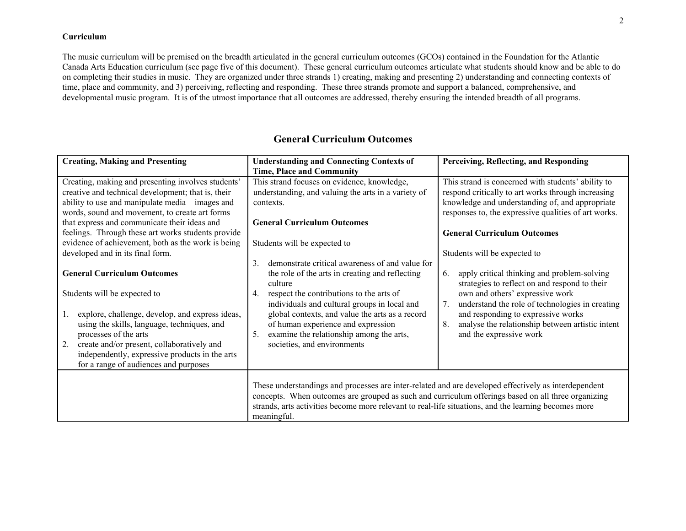#### **Curriculum**

The music curriculum will be premised on the breadth articulated in the general curriculum outcomes (GCOs) contained in the Foundation for the Atlantic Canada Arts Education curriculum (see page five of this document). These general curriculum outcomes articulate what students should know and be able to do on completing their studies in music. They are organized under three strands 1) creating, making and presenting 2) understanding and connecting contexts of time, place and community, and 3) perceiving, reflecting and responding. These three strands promote and support a balanced, comprehensive, and developmental music program. It is of the utmost importance that all outcomes are addressed, thereby ensuring the intended breadth of all programs.

| <b>Creating, Making and Presenting</b>                                                                                                                                                                                                                                                                       | <b>Understanding and Connecting Contexts of</b>                                                                                                                                                                                                                                                                                   | Perceiving, Reflecting, and Responding                                                                                                                                                                                                                               |
|--------------------------------------------------------------------------------------------------------------------------------------------------------------------------------------------------------------------------------------------------------------------------------------------------------------|-----------------------------------------------------------------------------------------------------------------------------------------------------------------------------------------------------------------------------------------------------------------------------------------------------------------------------------|----------------------------------------------------------------------------------------------------------------------------------------------------------------------------------------------------------------------------------------------------------------------|
|                                                                                                                                                                                                                                                                                                              | <b>Time, Place and Community</b>                                                                                                                                                                                                                                                                                                  |                                                                                                                                                                                                                                                                      |
| Creating, making and presenting involves students'<br>creative and technical development; that is, their<br>ability to use and manipulate media – images and<br>words, sound and movement, to create art forms<br>that express and communicate their ideas and                                               | This strand focuses on evidence, knowledge,<br>understanding, and valuing the arts in a variety of<br>contexts.<br><b>General Curriculum Outcomes</b>                                                                                                                                                                             | This strand is concerned with students' ability to<br>respond critically to art works through increasing<br>knowledge and understanding of, and appropriate<br>responses to, the expressive qualities of art works.                                                  |
| feelings. Through these art works students provide                                                                                                                                                                                                                                                           |                                                                                                                                                                                                                                                                                                                                   | <b>General Curriculum Outcomes</b>                                                                                                                                                                                                                                   |
| evidence of achievement, both as the work is being<br>developed and in its final form.<br><b>General Curriculum Outcomes</b>                                                                                                                                                                                 | Students will be expected to<br>demonstrate critical awareness of and value for<br>3.<br>the role of the arts in creating and reflecting                                                                                                                                                                                          | Students will be expected to<br>apply critical thinking and problem-solving<br>6.                                                                                                                                                                                    |
| Students will be expected to<br>explore, challenge, develop, and express ideas,<br>1.<br>using the skills, language, techniques, and<br>processes of the arts<br>2.<br>create and/or present, collaboratively and<br>independently, expressive products in the arts<br>for a range of audiences and purposes | culture<br>respect the contributions to the arts of<br>4.<br>individuals and cultural groups in local and<br>global contexts, and value the arts as a record<br>of human experience and expression<br>examine the relationship among the arts,<br>5.<br>societies, and environments                                               | strategies to reflect on and respond to their<br>own and others' expressive work<br>understand the role of technologies in creating<br>7.<br>and responding to expressive works<br>analyse the relationship between artistic intent<br>8.<br>and the expressive work |
|                                                                                                                                                                                                                                                                                                              | These understandings and processes are inter-related and are developed effectively as interdependent<br>concepts. When outcomes are grouped as such and curriculum offerings based on all three organizing<br>strands, arts activities become more relevant to real-life situations, and the learning becomes more<br>meaningful. |                                                                                                                                                                                                                                                                      |

# **General Curriculum Outcomes**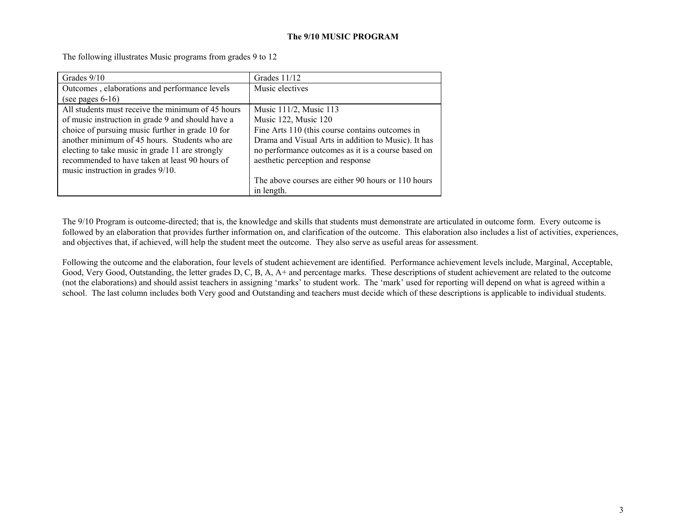#### **The 9/10 MUSIC PROGRAM**

The following illustrates Music programs from grades 9 to 12

| Grades 9/10                                       | Grades $11/12$                                      |
|---------------------------------------------------|-----------------------------------------------------|
| Outcomes, elaborations and performance levels     | Music electives                                     |
| (see pages $6-16$ )                               |                                                     |
| All students must receive the minimum of 45 hours | Music 111/2, Music 113                              |
| of music instruction in grade 9 and should have a | Music 122, Music 120                                |
| choice of pursuing music further in grade 10 for  | Fine Arts 110 (this course contains outcomes in     |
| another minimum of 45 hours. Students who are     | Drama and Visual Arts in addition to Music). It has |
| electing to take music in grade 11 are strongly   | no performance outcomes as it is a course based on  |
| recommended to have taken at least 90 hours of    | aesthetic perception and response                   |
| music instruction in grades 9/10.                 |                                                     |
|                                                   | The above courses are either 90 hours or 110 hours  |
|                                                   | in length.                                          |

The 9/10 Program is outcome-directed; that is, the knowledge and skills that students must demonstrate are articulated in outcome form. Every outcome is followed by an elaboration that provides further information on, and clarification of the outcome. This elaboration also includes a list of activities, experiences, and objectives that, if achieved, will help the student meet the outcome. They also serve as useful areas for assessment.

Following the outcome and the elaboration, four levels of student achievement are identified. Performance achievement levels include, Marginal, Acceptable, Good, Very Good, Outstanding, the letter grades D, C, B, A, A+ and percentage marks. These descriptions of student achievement are related to the outcome (not the elaborations) and should assist teachers in assigning 'marks' to student work. The 'mark' used for reporting will depend on what is agreed within a school. The last column includes both Very good and Outstanding and teachers must decide which of these descriptions is applicable to individual students.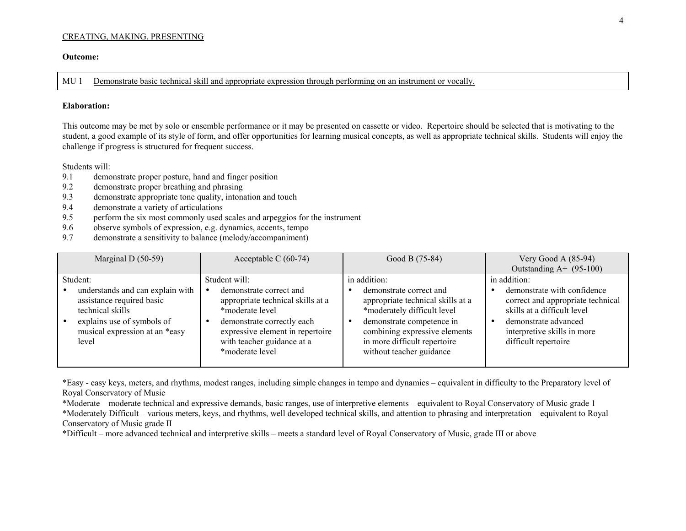#### CREATING, MAKING, PRESENTING

#### **Outcome:**

MU 1 Demonstrate basic technical skill and appropriate expression through performing on an instrument or vocally.

#### **Elaboration:**

This outcome may be met by solo or ensemble performance or it may be presented on cassette or video. Repertoire should be selected that is motivating to the student, a good example of its style of form, and offer opportunities for learning musical concepts, as well as appropriate technical skills. Students will enjoy the challenge if progress is structured for frequent success.

Students will:

- 9.1 demonstrate proper posture, hand and finger position
- 9.2 demonstrate proper breathing and phrasing
- 9.3demonstrate appropriate tone quality, intonation and touch
- 9.4 demonstrate a variety of articulations
- 9.5 perform the six most commonly used scales and arpeggios for the instrument
- 9.6 observe symbols of expression, e.g. dynamics, accents, tempo
- 9.7 demonstrate a sensitivity to balance (melody/accompaniment)

| Marginal D $(50-59)$                                                                                                                                       | Acceptable C $(60-74)$                                                                                                                                                                                                       | Good B (75-84)                                                                                                                                                                                                        | Very Good A $(85-94)$                                                                                                                                                          |
|------------------------------------------------------------------------------------------------------------------------------------------------------------|------------------------------------------------------------------------------------------------------------------------------------------------------------------------------------------------------------------------------|-----------------------------------------------------------------------------------------------------------------------------------------------------------------------------------------------------------------------|--------------------------------------------------------------------------------------------------------------------------------------------------------------------------------|
|                                                                                                                                                            |                                                                                                                                                                                                                              |                                                                                                                                                                                                                       | Outstanding $A+$ (95-100)                                                                                                                                                      |
| Student:                                                                                                                                                   | Student will:                                                                                                                                                                                                                | in addition:                                                                                                                                                                                                          | in addition:                                                                                                                                                                   |
| understands and can explain with<br>assistance required basic<br>technical skills<br>explains use of symbols of<br>musical expression at an *easy<br>level | demonstrate correct and<br>$\bullet$<br>appropriate technical skills at a<br>*moderate level<br>demonstrate correctly each<br>$\bullet$<br>expressive element in repertoire<br>with teacher guidance at a<br>*moderate level | demonstrate correct and<br>appropriate technical skills at a<br>*moderately difficult level<br>demonstrate competence in<br>combining expressive elements<br>in more difficult repertoire<br>without teacher guidance | demonstrate with confidence<br>correct and appropriate technical<br>skills at a difficult level<br>demonstrate advanced<br>interpretive skills in more<br>difficult repertoire |

\*Easy - easy keys, meters, and rhythms, modest ranges, including simple changes in tempo and dynamics – equivalent in difficulty to the Preparatory level of Royal Conservatory of Music

\*Moderate – moderate technical and expressive demands, basic ranges, use of interpretive elements – equivalent to Royal Conservatory of Music grade 1 \*Moderately Difficult – various meters, keys, and rhythms, well developed technical skills, and attention to phrasing and interpretation – equivalent to Royal Conservatory of Music grade II

\*Difficult – more advanced technical and interpretive skills – meets a standard level of Royal Conservatory of Music, grade III or above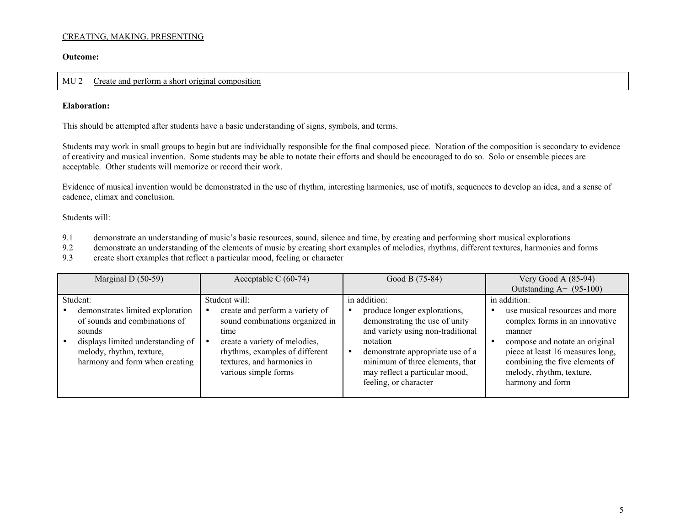#### CREATING, MAKING, PRESENTING

**Outcome:** 

#### MU 2 Create and perform a short original composition

#### **Elaboration:**

This should be attempted after students have a basic understanding of signs, symbols, and terms.

Students may work in small groups to begin but are individually responsible for the final composed piece. Notation of the composition is secondary to evidence of creativity and musical invention. Some students may be able to notate their efforts and should be encouraged to do so. Solo or ensemble pieces are acceptable. Other students will memorize or record their work.

Evidence of musical invention would be demonstrated in the use of rhythm, interesting harmonies, use of motifs, sequences to develop an idea, and a sense of cadence, climax and conclusion.

- 9.1 demonstrate an understanding of music's basic resources, sound, silence and time, by creating and performing short musical explorations
- 9.2 demonstrate an understanding of the elements of music by creating short examples of melodies, rhythms, different textures, harmonies and forms
- 9.3 create short examples that reflect a particular mood, feeling or character

| Marginal D $(50-59)$                                                                                                                                                           | Acceptable C $(60-74)$                                                                                                                                                                              | Good B (75-84)                                                                                                                                                                                                                                    | Very Good A $(85-94)$                                                                                                                                                                                                              |
|--------------------------------------------------------------------------------------------------------------------------------------------------------------------------------|-----------------------------------------------------------------------------------------------------------------------------------------------------------------------------------------------------|---------------------------------------------------------------------------------------------------------------------------------------------------------------------------------------------------------------------------------------------------|------------------------------------------------------------------------------------------------------------------------------------------------------------------------------------------------------------------------------------|
|                                                                                                                                                                                |                                                                                                                                                                                                     |                                                                                                                                                                                                                                                   | Outstanding $A+$ (95-100)                                                                                                                                                                                                          |
| Student:                                                                                                                                                                       | Student will:                                                                                                                                                                                       | in addition:                                                                                                                                                                                                                                      | in addition:                                                                                                                                                                                                                       |
| demonstrates limited exploration<br>of sounds and combinations of<br>sounds<br>displays limited understanding of<br>melody, rhythm, texture,<br>harmony and form when creating | create and perform a variety of<br>sound combinations organized in<br>time<br>create a variety of melodies,<br>rhythms, examples of different<br>textures, and harmonies in<br>various simple forms | produce longer explorations,<br>demonstrating the use of unity<br>and variety using non-traditional<br>notation<br>demonstrate appropriate use of a<br>minimum of three elements, that<br>may reflect a particular mood,<br>feeling, or character | use musical resources and more<br>complex forms in an innovative<br>manner<br>compose and notate an original<br>piece at least 16 measures long,<br>combining the five elements of<br>melody, rhythm, texture,<br>harmony and form |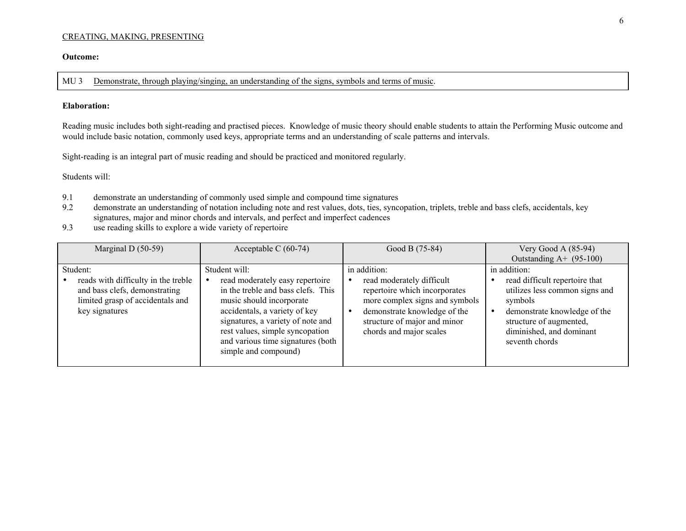#### CREATING, MAKING, PRESENTING

#### **Outcome:**

MU 3 Demonstrate, through playing/singing, an understanding of the signs, symbols and terms of music.

#### **Elaboration:**

Reading music includes both sight-reading and practised pieces. Knowledge of music theory should enable students to attain the Performing Music outcome and would include basic notation, commonly used keys, appropriate terms and an understanding of scale patterns and intervals.

Sight-reading is an integral part of music reading and should be practiced and monitored regularly.

- 9.1 demonstrate an understanding of commonly used simple and compound time signatures<br>9.2 demonstrate an understanding of notation including note and rest values, dots, ties, synce
- demonstrate an understanding of notation including note and rest values, dots, ties, syncopation, triplets, treble and bass clefs, accidentals, key signatures, major and minor chords and intervals, and perfect and imperfect cadences
- 9.3use reading skills to explore a wide variety of repertoire

| Marginal D $(50-59)$                                                                                                       | Acceptable C $(60-74)$                                                                                                                                                                                                                                                  | Good B (75-84)                                                                                                                                                                          | Very Good A $(85-94)$                                                                                                                                                                |
|----------------------------------------------------------------------------------------------------------------------------|-------------------------------------------------------------------------------------------------------------------------------------------------------------------------------------------------------------------------------------------------------------------------|-----------------------------------------------------------------------------------------------------------------------------------------------------------------------------------------|--------------------------------------------------------------------------------------------------------------------------------------------------------------------------------------|
|                                                                                                                            |                                                                                                                                                                                                                                                                         |                                                                                                                                                                                         | Outstanding $A+$ (95-100)                                                                                                                                                            |
| Student:                                                                                                                   | Student will:                                                                                                                                                                                                                                                           | in addition:                                                                                                                                                                            | in addition:                                                                                                                                                                         |
| reads with difficulty in the treble<br>and bass clefs, demonstrating<br>limited grasp of accidentals and<br>key signatures | read moderately easy repertoire<br>in the treble and bass clefs. This<br>music should incorporate<br>accidentals, a variety of key<br>signatures, a variety of note and<br>rest values, simple syncopation<br>and various time signatures (both<br>simple and compound) | read moderately difficult<br>repertoire which incorporates<br>more complex signs and symbols<br>demonstrate knowledge of the<br>structure of major and minor<br>chords and major scales | read difficult repertoire that<br>utilizes less common signs and<br>symbols<br>demonstrate knowledge of the<br>structure of augmented,<br>diminished, and dominant<br>seventh chords |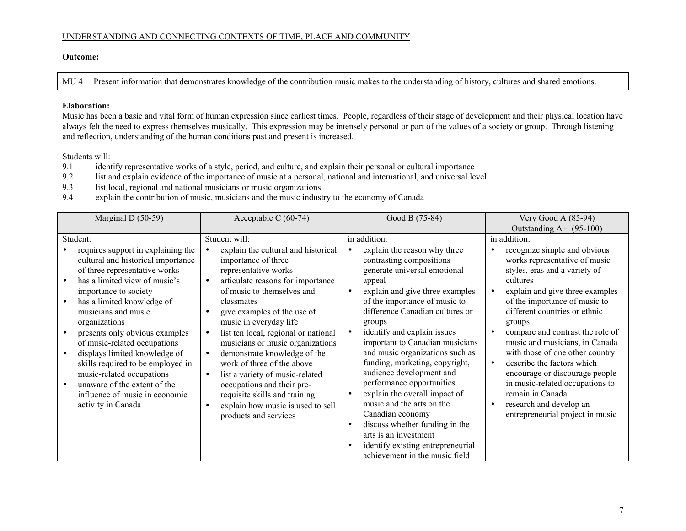#### UNDERSTANDING AND CONNECTING CONTEXTS OF TIME, PLACE AND COMMUNITY

#### **Outcome:**

MU 4 Present information that demonstrates knowledge of the contribution music makes to the understanding of history, cultures and shared emotions.

#### **Elaboration:**

Music has been a basic and vital form of human expression since earliest times. People, regardless of their stage of development and their physical location have always felt the need to express themselves musically. This expression may be intensely personal or part of the values of a society or group. Through listening and reflection, understanding of the human conditions past and present is increased.

- 9.1 identify representative works of a style, period, and culture, and explain their personal or cultural importance
- 9.2 list and explain evidence of the importance of music at a personal, national and international, and universal level
- 9.3 list local, regional and national musicians or music organizations
- 9.4 explain the contribution of music, musicians and the music industry to the economy of Canada

| Marginal D $(50-59)$                                                                                                                                                                                                                                                                                                                                                                                                                                                                                                            | Acceptable C $(60-74)$                                                                                                                                                                                                                                                                                                                                                                                                                                                                                                                                                                                                                | Good B (75-84)                                                                                                                                                                                                                                                                                                                                                                                                                                                                                                                                                                                                                                                                                                                        | Very Good A $(85-94)$                                                                                                                                                                                                                                                                                                                                                                                                                                                                                                                                 |
|---------------------------------------------------------------------------------------------------------------------------------------------------------------------------------------------------------------------------------------------------------------------------------------------------------------------------------------------------------------------------------------------------------------------------------------------------------------------------------------------------------------------------------|---------------------------------------------------------------------------------------------------------------------------------------------------------------------------------------------------------------------------------------------------------------------------------------------------------------------------------------------------------------------------------------------------------------------------------------------------------------------------------------------------------------------------------------------------------------------------------------------------------------------------------------|---------------------------------------------------------------------------------------------------------------------------------------------------------------------------------------------------------------------------------------------------------------------------------------------------------------------------------------------------------------------------------------------------------------------------------------------------------------------------------------------------------------------------------------------------------------------------------------------------------------------------------------------------------------------------------------------------------------------------------------|-------------------------------------------------------------------------------------------------------------------------------------------------------------------------------------------------------------------------------------------------------------------------------------------------------------------------------------------------------------------------------------------------------------------------------------------------------------------------------------------------------------------------------------------------------|
|                                                                                                                                                                                                                                                                                                                                                                                                                                                                                                                                 |                                                                                                                                                                                                                                                                                                                                                                                                                                                                                                                                                                                                                                       |                                                                                                                                                                                                                                                                                                                                                                                                                                                                                                                                                                                                                                                                                                                                       | Outstanding $A+$ (95-100)                                                                                                                                                                                                                                                                                                                                                                                                                                                                                                                             |
| Student:<br>requires support in explaining the<br>cultural and historical importance<br>of three representative works<br>has a limited view of music's<br>importance to society<br>has a limited knowledge of<br>musicians and music<br>organizations<br>presents only obvious examples<br>of music-related occupations<br>displays limited knowledge of<br>$\bullet$<br>skills required to be employed in<br>music-related occupations<br>unaware of the extent of the<br>influence of music in economic<br>activity in Canada | Student will:<br>explain the cultural and historical<br>importance of three<br>representative works<br>articulate reasons for importance<br>$\bullet$<br>of music to themselves and<br>classmates<br>give examples of the use of<br>$\bullet$<br>music in everyday life<br>list ten local, regional or national<br>$\bullet$<br>musicians or music organizations<br>demonstrate knowledge of the<br>$\bullet$<br>work of three of the above<br>list a variety of music-related<br>$\bullet$<br>occupations and their pre-<br>requisite skills and training<br>explain how music is used to sell<br>$\bullet$<br>products and services | in addition:<br>explain the reason why three<br>$\bullet$<br>contrasting compositions<br>generate universal emotional<br>appeal<br>explain and give three examples<br>$\bullet$<br>of the importance of music to<br>difference Canadian cultures or<br>groups<br>identify and explain issues<br>$\bullet$<br>important to Canadian musicians<br>and music organizations such as<br>funding, marketing, copyright,<br>audience development and<br>performance opportunities<br>explain the overall impact of<br>$\bullet$<br>music and the arts on the<br>Canadian economy<br>discuss whether funding in the<br>$\bullet$<br>arts is an investment<br>identify existing entrepreneurial<br>$\bullet$<br>achievement in the music field | in addition:<br>recognize simple and obvious<br>works representative of music<br>styles, eras and a variety of<br>cultures<br>explain and give three examples<br>of the importance of music to<br>different countries or ethnic<br>groups<br>compare and contrast the role of<br>music and musicians, in Canada<br>with those of one other country<br>describe the factors which<br>$\bullet$<br>encourage or discourage people<br>in music-related occupations to<br>remain in Canada<br>research and develop an<br>entrepreneurial project in music |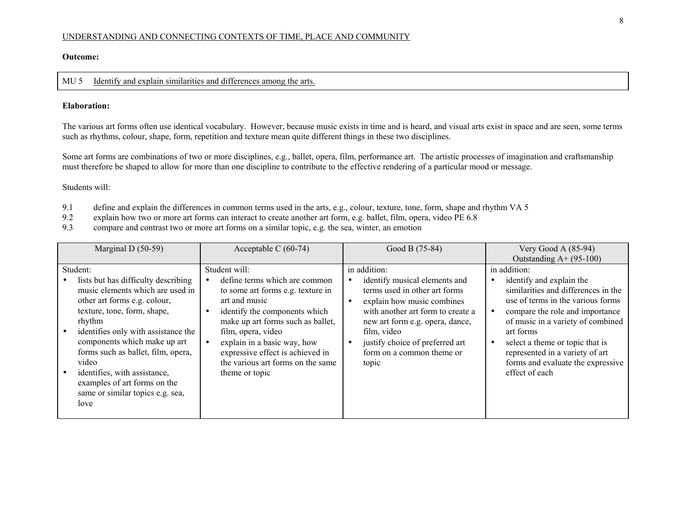#### UNDERSTANDING AND CONNECTING CONTEXTS OF TIME, PLACE AND COMMUNITY

#### **Outcome:**

#### MU 5 Identify and explain similarities and differences among the arts.

#### **Elaboration:**

The various art forms often use identical vocabulary. However, because music exists in time and is heard, and visual arts exist in space and are seen, some terms such as rhythms, colour, shape, form, repetition and texture mean quite different things in these two disciplines.

Some art forms are combinations of two or more disciplines, e.g., ballet, opera, film, performance art. The artistic processes of imagination and craftsmanship must therefore be shaped to allow for more than one discipline to contribute to the effective rendering of a particular mood or message.

- 9.1 define and explain the differences in common terms used in the arts, e.g., colour, texture, tone, form, shape and rhythm VA 5
- 9.2 explain how two or more art forms can interact to create another art form, e.g. ballet, film, opera, video PE 6.8
- 9.3 compare and contrast two or more art forms on a similar topic, e.g. the sea, winter, an emotion

| Marginal D $(50-59)$                                                                                                                                                                                                                                                                                                                                                                           | Acceptable C $(60-74)$                                                                                                                                                                                                                                                                                                                                            | Good B (75-84)                                                                                                                                                                                                                                                               | Very Good A $(85-94)$                                                                                                                                                                                                                                                                                                                  |
|------------------------------------------------------------------------------------------------------------------------------------------------------------------------------------------------------------------------------------------------------------------------------------------------------------------------------------------------------------------------------------------------|-------------------------------------------------------------------------------------------------------------------------------------------------------------------------------------------------------------------------------------------------------------------------------------------------------------------------------------------------------------------|------------------------------------------------------------------------------------------------------------------------------------------------------------------------------------------------------------------------------------------------------------------------------|----------------------------------------------------------------------------------------------------------------------------------------------------------------------------------------------------------------------------------------------------------------------------------------------------------------------------------------|
|                                                                                                                                                                                                                                                                                                                                                                                                |                                                                                                                                                                                                                                                                                                                                                                   |                                                                                                                                                                                                                                                                              | Outstanding $A+ (95-100)$                                                                                                                                                                                                                                                                                                              |
| Student:<br>lists but has difficulty describing<br>music elements which are used in<br>other art forms e.g. colour,<br>texture, tone, form, shape,<br>rhythm<br>identifies only with assistance the<br>components which make up art<br>forms such as ballet, film, opera,<br>video<br>identifies, with assistance,<br>examples of art forms on the<br>same or similar topics e.g. sea,<br>love | Student will:<br>define terms which are common<br>$\bullet$<br>to some art forms e.g. texture in<br>art and music<br>identify the components which<br>$\bullet$<br>make up art forms such as ballet,<br>film, opera, video<br>explain in a basic way, how<br>$\bullet$<br>expressive effect is achieved in<br>the various art forms on the same<br>theme or topic | in addition:<br>identify musical elements and<br>terms used in other art forms<br>explain how music combines<br>with another art form to create a<br>new art form e.g. opera, dance,<br>film, video<br>justify choice of preferred art<br>form on a common theme or<br>topic | in addition:<br>identify and explain the<br>similarities and differences in the<br>use of terms in the various forms<br>compare the role and importance<br>of music in a variety of combined<br>art forms<br>select a theme or topic that is<br>represented in a variety of art<br>forms and evaluate the expressive<br>effect of each |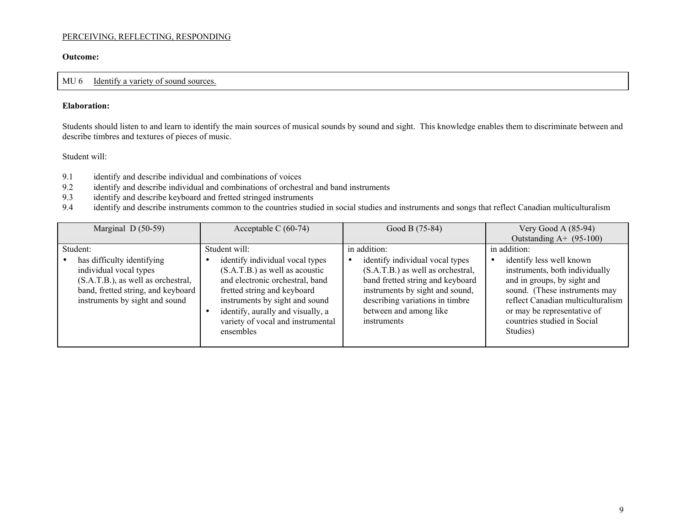**Outcome:** 

#### MU 6 Identify a variety of sound sources.

#### **Elaboration:**

Students should listen to and learn to identify the main sources of musical sounds by sound and sight. This knowledge enables them to discriminate between and describe timbres and textures of pieces of music.

- 9.1 identify and describe individual and combinations of voices<br>9.2 identify and describe individual and combinations of orchest
- identify and describe individual and combinations of orchestral and band instruments
- 9.3 identify and describe keyboard and fretted stringed instruments<br>9.4 identify and describe instruments common to the countries studi
- identify and describe instruments common to the countries studied in social studies and instruments and songs that reflect Canadian multiculturalism

| Marginal $D(50-59)$                                                                                                                  | Acceptable C $(60-74)$                                                                                                                                                                                                      | Good B (75-84)                                                                                                                                                                       | Very Good A $(85-94)$                                                                                                                                                                                         |
|--------------------------------------------------------------------------------------------------------------------------------------|-----------------------------------------------------------------------------------------------------------------------------------------------------------------------------------------------------------------------------|--------------------------------------------------------------------------------------------------------------------------------------------------------------------------------------|---------------------------------------------------------------------------------------------------------------------------------------------------------------------------------------------------------------|
|                                                                                                                                      |                                                                                                                                                                                                                             |                                                                                                                                                                                      | Outstanding $A+$ (95-100)                                                                                                                                                                                     |
| Student:<br>has difficulty identifying                                                                                               | Student will:<br>identify individual vocal types<br>$\bullet$                                                                                                                                                               | in addition:<br>identify individual vocal types<br>$\bullet$                                                                                                                         | in addition:<br>identify less well known                                                                                                                                                                      |
| individual vocal types<br>(S.A.T.B.), as well as orchestral,<br>band, fretted string, and keyboard<br>instruments by sight and sound | $(S.A.T.B.)$ as well as acoustic<br>and electronic orchestral, band<br>fretted string and keyboard<br>instruments by sight and sound<br>identify, aurally and visually, a<br>variety of vocal and instrumental<br>ensembles | (S.A.T.B.) as well as orchestral,<br>band fretted string and keyboard<br>instruments by sight and sound,<br>describing variations in timbre<br>between and among like<br>instruments | instruments, both individually<br>and in groups, by sight and<br>sound. (These instruments may<br>reflect Canadian multiculturalism<br>or may be representative of<br>countries studied in Social<br>Studies) |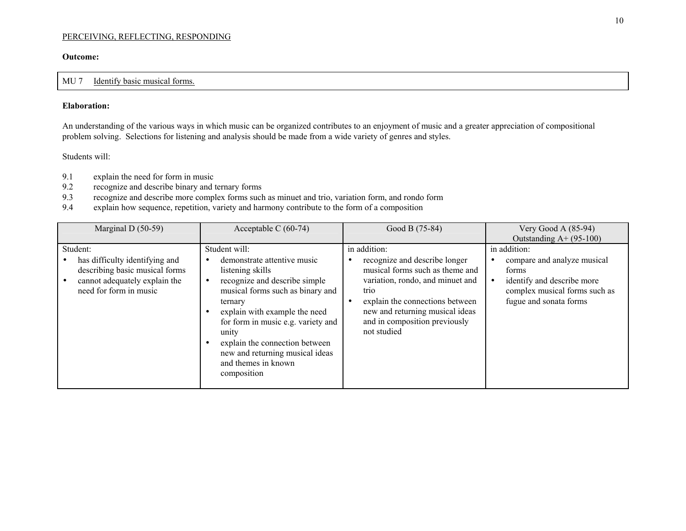#### **Outcome:**

#### MU 7 Identify basic musical forms.

#### **Elaboration:**

An understanding of the various ways in which music can be organized contributes to an enjoyment of music and a greater appreciation of compositional problem solving. Selections for listening and analysis should be made from a wide variety of genres and styles.

- 9.1 explain the need for form in music
- 9.2 recognize and describe binary and ternary forms
- 9.3 recognize and describe more complex forms such as minuet and trio, variation form, and rondo form
- 9.4explain how sequence, repetition, variety and harmony contribute to the form of a composition

| Marginal D $(50-59)$                                                                                                                    | Acceptable C $(60-74)$                                                                                                                                                                                                                                                                                                                                   | Good B (75-84)                                                                                                                                                                                                                                                  | Very Good A $(85-94)$<br>Outstanding $A+ (95-100)$                                                                                            |
|-----------------------------------------------------------------------------------------------------------------------------------------|----------------------------------------------------------------------------------------------------------------------------------------------------------------------------------------------------------------------------------------------------------------------------------------------------------------------------------------------------------|-----------------------------------------------------------------------------------------------------------------------------------------------------------------------------------------------------------------------------------------------------------------|-----------------------------------------------------------------------------------------------------------------------------------------------|
| Student:<br>has difficulty identifying and<br>describing basic musical forms<br>cannot adequately explain the<br>need for form in music | Student will:<br>demonstrate attentive music<br>$\bullet$<br>listening skills<br>recognize and describe simple<br>musical forms such as binary and<br>ternary<br>explain with example the need<br>for form in music e.g. variety and<br>unity<br>explain the connection between<br>new and returning musical ideas<br>and themes in known<br>composition | in addition:<br>recognize and describe longer<br>musical forms such as theme and<br>variation, rondo, and minuet and<br>trio<br>explain the connections between<br>$\bullet$<br>new and returning musical ideas<br>and in composition previously<br>not studied | in addition:<br>compare and analyze musical<br>forms<br>identify and describe more<br>complex musical forms such as<br>fugue and sonata forms |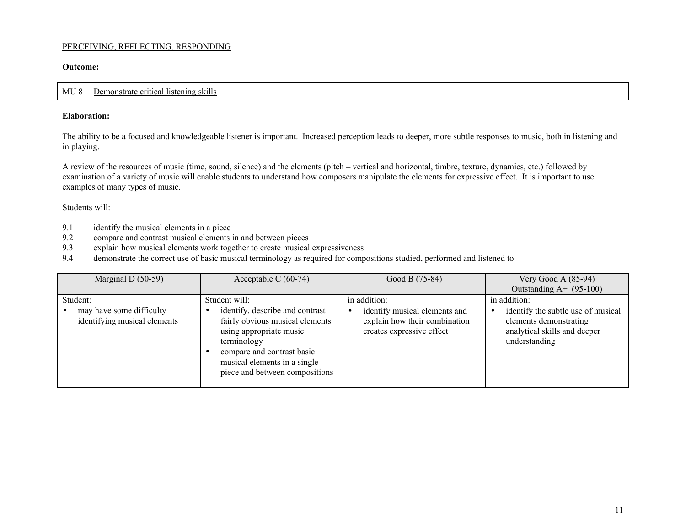#### **Outcome:**

#### MU 8Demonstrate critical listening skills

#### **Elaboration:**

The ability to be a focused and knowledgeable listener is important. Increased perception leads to deeper, more subtle responses to music, both in listening and in playing.

A review of the resources of music (time, sound, silence) and the elements (pitch – vertical and horizontal, timbre, texture, dynamics, etc.) followed by examination of a variety of music will enable students to understand how composers manipulate the elements for expressive effect. It is important to use examples of many types of music.

- 9.1 identify the musical elements in a piece<br>9.2 compare and contrast musical elements
- 9.2 compare and contrast musical elements in and between pieces
- 9.3 explain how musical elements work together to create musical expressiveness
- 9.4 demonstrate the correct use of basic musical terminology as required for compositions studied, performed and listened to

| Marginal D $(50-59)$                                                 | Acceptable C $(60-74)$                                                                                                                                                                                                        | Good B (75-84)                                                                                              | Very Good A $(85-94)$<br>Outstanding $A+$ (95-100)                                                                            |
|----------------------------------------------------------------------|-------------------------------------------------------------------------------------------------------------------------------------------------------------------------------------------------------------------------------|-------------------------------------------------------------------------------------------------------------|-------------------------------------------------------------------------------------------------------------------------------|
| Student:<br>may have some difficulty<br>identifying musical elements | Student will:<br>identify, describe and contrast<br>fairly obvious musical elements<br>using appropriate music<br>terminology<br>compare and contrast basic<br>musical elements in a single<br>piece and between compositions | in addition:<br>identify musical elements and<br>explain how their combination<br>creates expressive effect | in addition:<br>identify the subtle use of musical<br>elements demonstrating<br>analytical skills and deeper<br>understanding |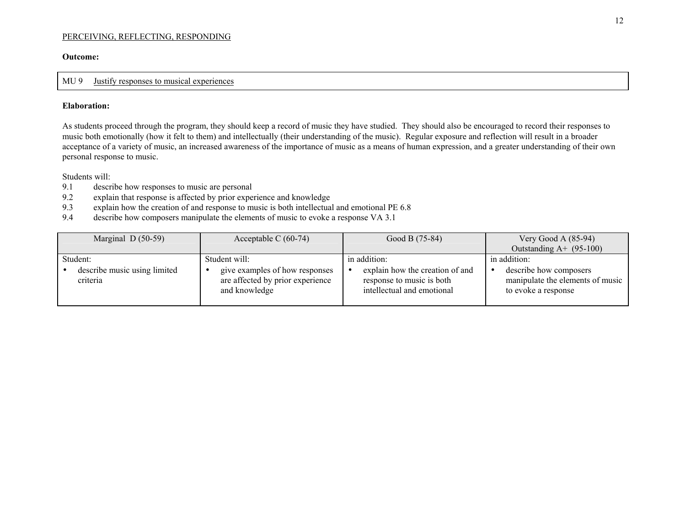#### **Outcome:**

#### MU 9 Justify responses to musical experiences

#### **Elaboration:**

As students proceed through the program, they should keep a record of music they have studied. They should also be encouraged to record their responses to music both emotionally (how it felt to them) and intellectually (their understanding of the music). Regular exposure and reflection will result in a broader acceptance of a variety of music, an increased awareness of the importance of music as a means of human expression, and a greater understanding of their own personal response to music.

- 9.1 describe how responses to music are personal
- 9.2 explain that response is affected by prior experience and knowledge
- 9.3 explain how the creation of and response to music is both intellectual and emotional PE 6.8
- 9.4 describe how composers manipulate the elements of music to evoke a response VA 3.1

| Marginal $D(50-59)$                                  | Acceptable C $(60-74)$                                                                               | Good B (75-84)                                                                                                          | Very Good A $(85-94)$                                                                             |
|------------------------------------------------------|------------------------------------------------------------------------------------------------------|-------------------------------------------------------------------------------------------------------------------------|---------------------------------------------------------------------------------------------------|
|                                                      |                                                                                                      |                                                                                                                         | Outstanding $A+$ (95-100)                                                                         |
| Student:<br>describe music using limited<br>criteria | Student will:<br>give examples of how responses<br>are affected by prior experience<br>and knowledge | in addition:<br>explain how the creation of and<br>$\bullet$<br>response to music is both<br>intellectual and emotional | in addition:<br>describe how composers<br>manipulate the elements of music<br>to evoke a response |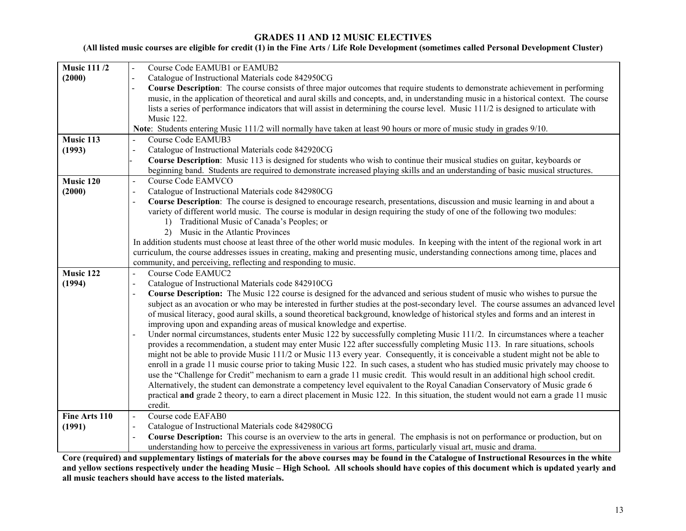#### **GRADES 11 AND 12 MUSIC ELECTIVES**

### **(All listed music courses are eligible for credit (1) in the Fine Arts / Life Role Development (sometimes called Personal Development Cluster)**

| <b>Music 111/2</b> | Course Code EAMUB1 or EAMUB2                                                                                                                      |  |  |  |
|--------------------|---------------------------------------------------------------------------------------------------------------------------------------------------|--|--|--|
| (2000)             | Catalogue of Instructional Materials code 842950CG                                                                                                |  |  |  |
|                    | <b>Course Description:</b> The course consists of three major outcomes that require students to demonstrate achievement in performing             |  |  |  |
|                    | music, in the application of theoretical and aural skills and concepts, and, in understanding music in a historical context. The course           |  |  |  |
|                    | lists a series of performance indicators that will assist in determining the course level. Music 111/2 is designed to articulate with             |  |  |  |
|                    | Music 122.                                                                                                                                        |  |  |  |
|                    | Note: Students entering Music 111/2 will normally have taken at least 90 hours or more of music study in grades 9/10.                             |  |  |  |
| Music 113          | <b>Course Code EAMUB3</b>                                                                                                                         |  |  |  |
| (1993)             | Catalogue of Instructional Materials code 842920CG                                                                                                |  |  |  |
|                    | Course Description: Music 113 is designed for students who wish to continue their musical studies on guitar, keyboards or                         |  |  |  |
|                    | beginning band. Students are required to demonstrate increased playing skills and an understanding of basic musical structures.                   |  |  |  |
| Music 120          | Course Code EAMVCO<br>$\overline{a}$                                                                                                              |  |  |  |
| (2000)             | Catalogue of Instructional Materials code 842980CG                                                                                                |  |  |  |
|                    | Course Description: The course is designed to encourage research, presentations, discussion and music learning in and about a<br>$\blacksquare$   |  |  |  |
|                    | variety of different world music. The course is modular in design requiring the study of one of the following two modules:                        |  |  |  |
|                    | 1) Traditional Music of Canada's Peoples; or                                                                                                      |  |  |  |
|                    | Music in the Atlantic Provinces<br>(2)                                                                                                            |  |  |  |
|                    | In addition students must choose at least three of the other world music modules. In keeping with the intent of the regional work in art          |  |  |  |
|                    | curriculum, the course addresses issues in creating, making and presenting music, understanding connections among time, places and                |  |  |  |
|                    | community, and perceiving, reflecting and responding to music.                                                                                    |  |  |  |
| Music 122          | Course Code EAMUC2                                                                                                                                |  |  |  |
| (1994)             | Catalogue of Instructional Materials code 842910CG<br>$\blacksquare$                                                                              |  |  |  |
|                    | Course Description: The Music 122 course is designed for the advanced and serious student of music who wishes to pursue the                       |  |  |  |
|                    | subject as an avocation or who may be interested in further studies at the post-secondary level. The course assumes an advanced level             |  |  |  |
|                    | of musical literacy, good aural skills, a sound theoretical background, knowledge of historical styles and forms and an interest in               |  |  |  |
|                    | improving upon and expanding areas of musical knowledge and expertise.                                                                            |  |  |  |
|                    | Under normal circumstances, students enter Music 122 by successfully completing Music 111/2. In circumstances where a teacher                     |  |  |  |
|                    | provides a recommendation, a student may enter Music 122 after successfully completing Music 113. In rare situations, schools                     |  |  |  |
|                    | might not be able to provide Music 111/2 or Music 113 every year. Consequently, it is conceivable a student might not be able to                  |  |  |  |
|                    | enroll in a grade 11 music course prior to taking Music 122. In such cases, a student who has studied music privately may choose to               |  |  |  |
|                    | use the "Challenge for Credit" mechanism to earn a grade 11 music credit. This would result in an additional high school credit.                  |  |  |  |
|                    | Alternatively, the student can demonstrate a competency level equivalent to the Royal Canadian Conservatory of Music grade 6                      |  |  |  |
|                    | practical and grade 2 theory, to earn a direct placement in Music 122. In this situation, the student would not earn a grade 11 music             |  |  |  |
|                    | credit.                                                                                                                                           |  |  |  |
| Fine Arts 110      | Course code EAFAB0<br>$\blacksquare$                                                                                                              |  |  |  |
| (1991)             | Catalogue of Instructional Materials code 842980CG<br>$\blacksquare$                                                                              |  |  |  |
|                    | Course Description: This course is an overview to the arts in general. The emphasis is not on performance or production, but on<br>$\overline{a}$ |  |  |  |
|                    | understanding how to perceive the expressiveness in various art forms, particularly visual art, music and drama.                                  |  |  |  |

**Core (required) and supplementary listings of materials for the above courses may be found in the Catalogue of Instructional Resources in the white and yellow sections respectively under the heading Music – High School. All schools should have copies of this document which is updated yearly and all music teachers should have access to the listed materials.**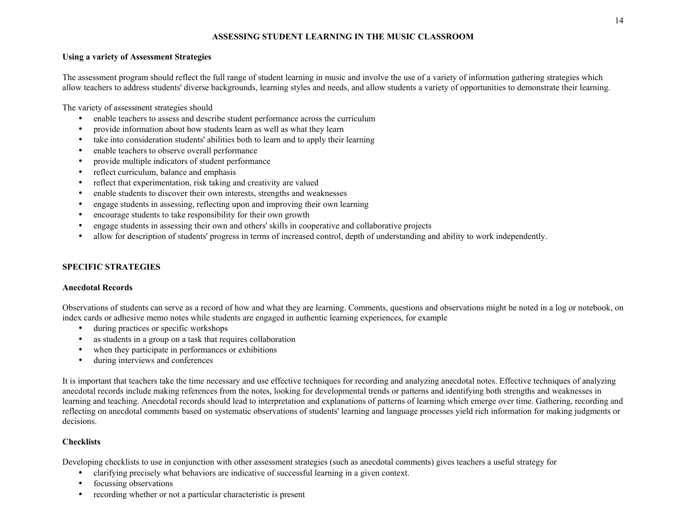#### **ASSESSING STUDENT LEARNING IN THE MUSIC CLASSROOM**

#### **Using a variety of Assessment Strategies**

The assessment program should reflect the full range of student learning in music and involve the use of a variety of information gathering strategies which allow teachers to address students' diverse backgrounds, learning styles and needs, and allow students a variety of opportunities to demonstrate their learning.

The variety of assessment strategies should

- enable teachers to assess and describe student performance across the curriculum
- provide information about how students learn as well as what they learn
- take into consideration students' abilities both to learn and to apply their learning
- enable teachers to observe overall performance
- provide multiple indicators of student performance
- reflect curriculum, balance and emphasis
- reflect that experimentation, risk taking and creativity are valued
- enable students to discover their own interests, strengths and weaknesses
- engage students in assessing, reflecting upon and improving their own learning
- encourage students to take responsibility for their own growth
- engage students in assessing their own and others' skills in cooperative and collaborative projects
- allow for description of students' progress in terms of increased control, depth of understanding and ability to work independently.

#### **SPECIFIC STRATEGIES**

#### **Anecdotal Records**

Observations of students can serve as a record of how and what they are learning. Comments, questions and observations might be noted in a log or notebook, on index cards or adhesive memo notes while students are engaged in authentic learning experiences, for example

- during practices or specific workshops
- as students in a group on a task that requires collaboration
- when they participate in performances or exhibitions
- during interviews and conferences

It is important that teachers take the time necessary and use effective techniques for recording and analyzing anecdotal notes. Effective techniques of analyzing anecdotal records include making references from the notes, looking for developmental trends or patterns and identifying both strengths and weaknesses in learning and teaching. Anecdotal records should lead to interpretation and explanations of patterns of learning which emerge over time. Gathering, recording and reflecting on anecdotal comments based on systematic observations of students' learning and language processes yield rich information for making judgments or decisions.

#### **Checklists**

Developing checklists to use in conjunction with other assessment strategies (such as anecdotal comments) gives teachers a useful strategy for

- clarifying precisely what behaviors are indicative of successful learning in a given context.
- focussing observations
- recording whether or not a particular characteristic is present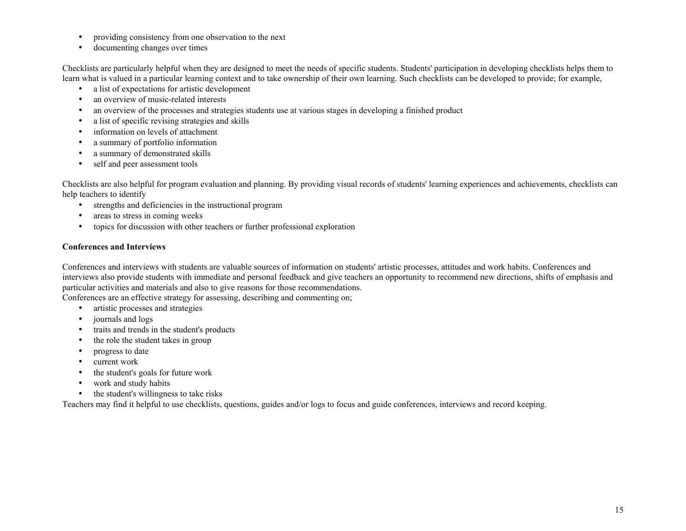- providing consistency from one observation to the next
- documenting changes over times

Checklists are particularly helpful when they are designed to meet the needs of specific students. Students' participation in developing checklists helps them to learn what is valued in a particular learning context and to take ownership of their own learning. Such checklists can be developed to provide; for example,

- a list of expectations for artistic development
- an overview of music-related interests
- an overview of the processes and strategies students use at various stages in developing a finished product
- a list of specific revising strategies and skills
- information on levels of attachment
- a summary of portfolio information
- a summary of demonstrated skills
- self and peer assessment tools

Checklists are also helpful for program evaluation and planning. By providing visual records of students' learning experiences and achievements, checklists can help teachers to identify

- strengths and deficiencies in the instructional program
- areas to stress in coming weeks
- topics for discussion with other teachers or further professional exploration

#### **Conferences and Interviews**

Conferences and interviews with students are valuable sources of information on students' artistic processes, attitudes and work habits. Conferences and interviews also provide students with immediate and personal feedback and give teachers an opportunity to recommend new directions, shifts of emphasis and particular activities and materials and also to give reasons for those recommendations.

Conferences are an effective strategy for assessing, describing and commenting on;

- artistic processes and strategies
- journals and logs
- traits and trends in the student's products
- the role the student takes in group
- progress to date
- current work
- the student's goals for future work
- work and study habits
- the student's willingness to take risks

Teachers may find it helpful to use checklists, questions, guides and/or logs to focus and guide conferences, interviews and record keeping.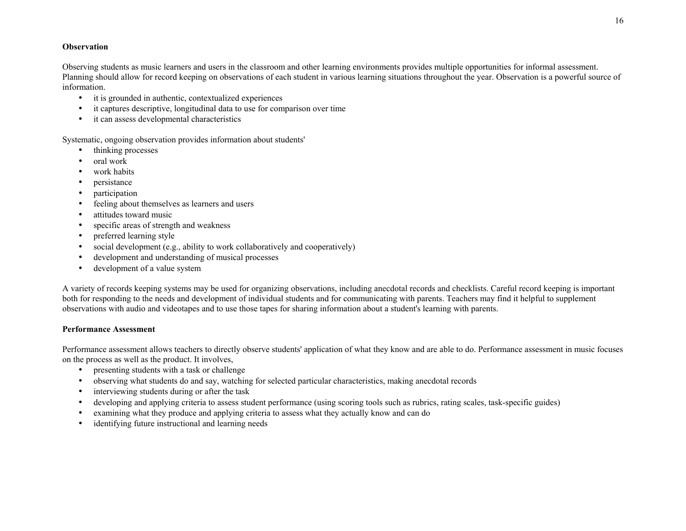#### **Observation**

Observing students as music learners and users in the classroom and other learning environments provides multiple opportunities for informal assessment. Planning should allow for record keeping on observations of each student in various learning situations throughout the year. Observation is a powerful source of information.

- it is grounded in authentic, contextualized experiences
- it captures descriptive, longitudinal data to use for comparison over time
- it can assess developmental characteristics

Systematic, ongoing observation provides information about students'

- thinking processes
- oral work
- work habits
- persistance
- participation
- feeling about themselves as learners and users
- attitudes toward music
- specific areas of strength and weakness
- preferred learning style
- social development (e.g., ability to work collaboratively and cooperatively)
- development and understanding of musical processes
- development of a value system

A variety of records keeping systems may be used for organizing observations, including anecdotal records and checklists. Careful record keeping is important both for responding to the needs and development of individual students and for communicating with parents. Teachers may find it helpful to supplement observations with audio and videotapes and to use those tapes for sharing information about a student's learning with parents.

#### **Performance Assessment**

Performance assessment allows teachers to directly observe students' application of what they know and are able to do. Performance assessment in music focuses on the process as well as the product. It involves,

- presenting students with a task or challenge
- observing what students do and say, watching for selected particular characteristics, making anecdotal records
- interviewing students during or after the task
- developing and applying criteria to assess student performance (using scoring tools such as rubrics, rating scales, task-specific guides)
- examining what they produce and applying criteria to assess what they actually know and can do
- identifying future instructional and learning needs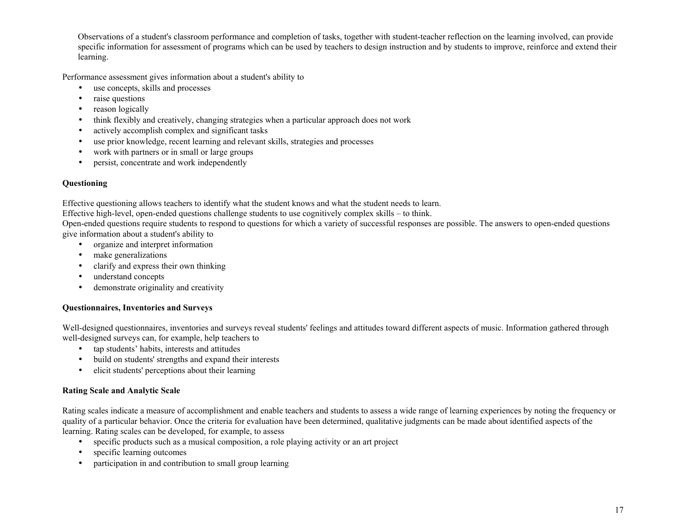Observations of a student's classroom performance and completion of tasks, together with student-teacher reflection on the learning involved, can provide specific information for assessment of programs which can be used by teachers to design instruction and by students to improve, reinforce and extend their learning.

Performance assessment gives information about a student's ability to

- use concepts, skills and processes
- raise questions
- reason logically
- think flexibly and creatively, changing strategies when a particular approach does not work
- actively accomplish complex and significant tasks
- use prior knowledge, recent learning and relevant skills, strategies and processes
- work with partners or in small or large groups
- persist, concentrate and work independently

#### **Questioning**

Effective questioning allows teachers to identify what the student knows and what the student needs to learn.

Effective high-level, open-ended questions challenge students to use cognitively complex skills – to think.

Open-ended questions require students to respond to questions for which a variety of successful responses are possible. The answers to open-ended questions give information about a student's ability to

- organize and interpret information
- make generalizations
- clarify and express their own thinking
- understand concepts
- demonstrate originality and creativity

#### **Questionnaires, Inventories and Surveys**

Well-designed questionnaires, inventories and surveys reveal students' feelings and attitudes toward different aspects of music. Information gathered through well-designed surveys can, for example, help teachers to

- tap students' habits, interests and attitudes
- build on students' strengths and expand their interests
- elicit students' perceptions about their learning

#### **Rating Scale and Analytic Scale**

Rating scales indicate a measure of accomplishment and enable teachers and students to assess a wide range of learning experiences by noting the frequency or quality of a particular behavior. Once the criteria for evaluation have been determined, qualitative judgments can be made about identified aspects of the learning. Rating scales can be developed, for example, to assess

- specific products such as a musical composition, a role playing activity or an art project
- specific learning outcomes
- participation in and contribution to small group learning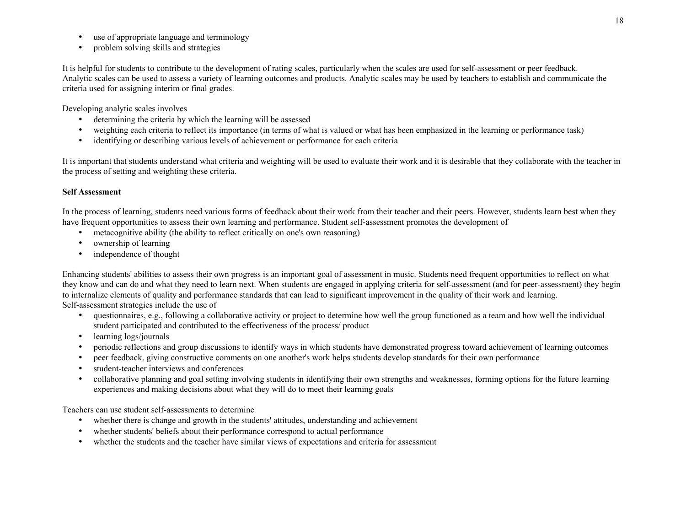- use of appropriate language and terminology
- problem solving skills and strategies

It is helpful for students to contribute to the development of rating scales, particularly when the scales are used for self-assessment or peer feedback. Analytic scales can be used to assess a variety of learning outcomes and products. Analytic scales may be used by teachers to establish and communicate the criteria used for assigning interim or final grades.

Developing analytic scales involves

- determining the criteria by which the learning will be assessed
- weighting each criteria to reflect its importance (in terms of what is valued or what has been emphasized in the learning or performance task)
- identifying or describing various levels of achievement or performance for each criteria

It is important that students understand what criteria and weighting will be used to evaluate their work and it is desirable that they collaborate with the teacher in the process of setting and weighting these criteria.

#### **Self Assessment**

In the process of learning, students need various forms of feedback about their work from their teacher and their peers. However, students learn best when they have frequent opportunities to assess their own learning and performance. Student self-assessment promotes the development of

- metacognitive ability (the ability to reflect critically on one's own reasoning)
- ownership of learning
- independence of thought

Enhancing students' abilities to assess their own progress is an important goal of assessment in music. Students need frequent opportunities to reflect on what they know and can do and what they need to learn next. When students are engaged in applying criteria for self-assessment (and for peer-assessment) they begin to internalize elements of quality and performance standards that can lead to significant improvement in the quality of their work and learning. Self-assessment strategies include the use of

- questionnaires, e.g., following a collaborative activity or project to determine how well the group functioned as a team and how well the individual student participated and contributed to the effectiveness of the process/ product
- learning logs/journals
- periodic reflections and group discussions to identify ways in which students have demonstrated progress toward achievement of learning outcomes
- peer feedback, giving constructive comments on one another's work helps students develop standards for their own performance
- student-teacher interviews and conferences
- collaborative planning and goal setting involving students in identifying their own strengths and weaknesses, forming options for the future learning experiences and making decisions about what they will do to meet their learning goals

Teachers can use student self-assessments to determine

- whether there is change and growth in the students' attitudes, understanding and achievement
- whether students' beliefs about their performance correspond to actual performance
- whether the students and the teacher have similar views of expectations and criteria for assessment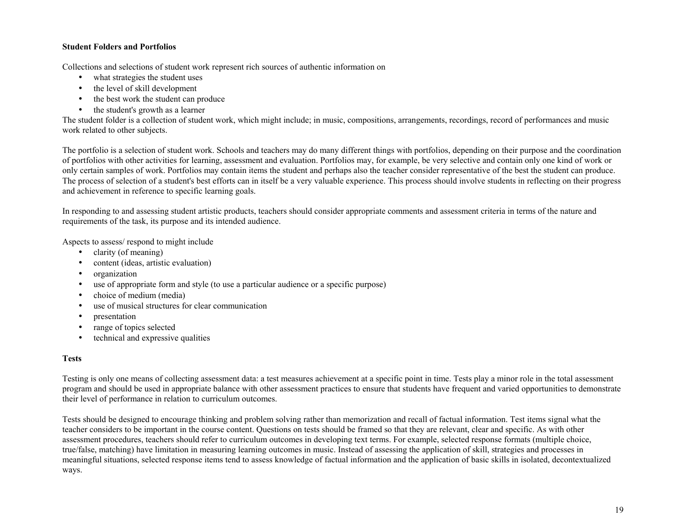#### **Student Folders and Portfolios**

Collections and selections of student work represent rich sources of authentic information on

- what strategies the student uses
- the level of skill development
- the best work the student can produce
- the student's growth as a learner

The student folder is a collection of student work, which might include; in music, compositions, arrangements, recordings, record of performances and music work related to other subjects.

The portfolio is a selection of student work. Schools and teachers may do many different things with portfolios, depending on their purpose and the coordination of portfolios with other activities for learning, assessment and evaluation. Portfolios may, for example, be very selective and contain only one kind of work or only certain samples of work. Portfolios may contain items the student and perhaps also the teacher consider representative of the best the student can produce. The process of selection of a student's best efforts can in itself be a very valuable experience. This process should involve students in reflecting on their progress and achievement in reference to specific learning goals.

In responding to and assessing student artistic products, teachers should consider appropriate comments and assessment criteria in terms of the nature and requirements of the task, its purpose and its intended audience.

Aspects to assess/ respond to might include

- clarity (of meaning)
- content (ideas, artistic evaluation)
- organization
- use of appropriate form and style (to use a particular audience or a specific purpose)
- choice of medium (media)
- use of musical structures for clear communication
- presentation
- range of topics selected
- technical and expressive qualities

#### **Tests**

Testing is only one means of collecting assessment data: a test measures achievement at a specific point in time. Tests play a minor role in the total assessment program and should be used in appropriate balance with other assessment practices to ensure that students have frequent and varied opportunities to demonstrate their level of performance in relation to curriculum outcomes.

Tests should be designed to encourage thinking and problem solving rather than memorization and recall of factual information. Test items signal what the teacher considers to be important in the course content. Questions on tests should be framed so that they are relevant, clear and specific. As with other assessment procedures, teachers should refer to curriculum outcomes in developing text terms. For example, selected response formats (multiple choice, true/false, matching) have limitation in measuring learning outcomes in music. Instead of assessing the application of skill, strategies and processes in meaningful situations, selected response items tend to assess knowledge of factual information and the application of basic skills in isolated, decontextualized ways.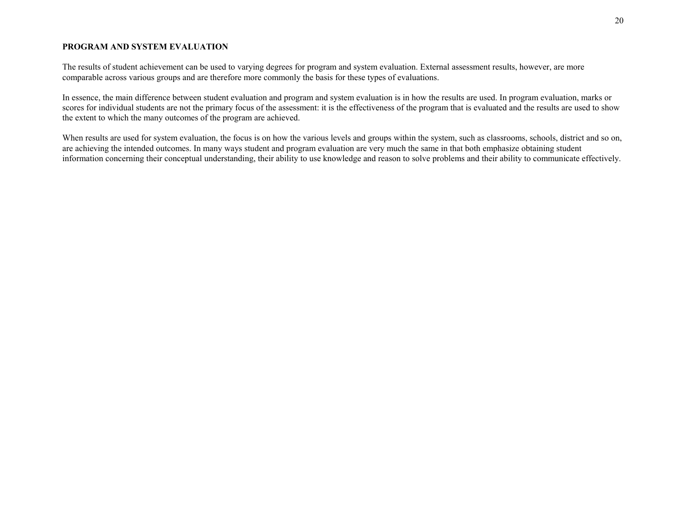#### **PROGRAM AND SYSTEM EVALUATION**

The results of student achievement can be used to varying degrees for program and system evaluation. External assessment results, however, are more comparable across various groups and are therefore more commonly the basis for these types of evaluations.

In essence, the main difference between student evaluation and program and system evaluation is in how the results are used. In program evaluation, marks or scores for individual students are not the primary focus of the assessment: it is the effectiveness of the program that is evaluated and the results are used to show the extent to which the many outcomes of the program are achieved.

When results are used for system evaluation, the focus is on how the various levels and groups within the system, such as classrooms, schools, district and so on, are achieving the intended outcomes. In many ways student and program evaluation are very much the same in that both emphasize obtaining student information concerning their conceptual understanding, their ability to use knowledge and reason to solve problems and their ability to communicate effectively.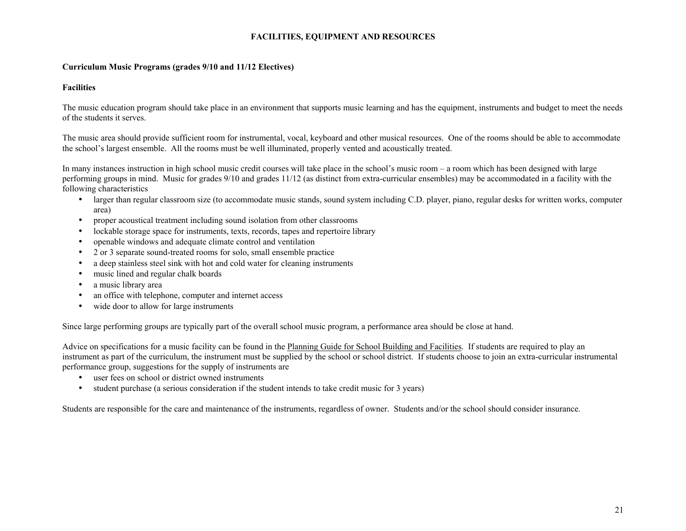#### **FACILITIES, EQUIPMENT AND RESOURCES**

#### **Curriculum Music Programs (grades 9/10 and 11/12 Electives)**

#### **Facilities**

The music education program should take place in an environment that supports music learning and has the equipment, instruments and budget to meet the needs of the students it serves.

The music area should provide sufficient room for instrumental, vocal, keyboard and other musical resources. One of the rooms should be able to accommodate the school's largest ensemble. All the rooms must be well illuminated, properly vented and acoustically treated.

In many instances instruction in high school music credit courses will take place in the school's music room – a room which has been designed with large performing groups in mind. Music for grades 9/10 and grades 11/12 (as distinct from extra-curricular ensembles) may be accommodated in a facility with the following characteristics

- larger than regular classroom size (to accommodate music stands, sound system including C.D. player, piano, regular desks for written works, computer area)
- proper acoustical treatment including sound isolation from other classrooms
- lockable storage space for instruments, texts, records, tapes and repertoire library
- openable windows and adequate climate control and ventilation
- 2 or 3 separate sound-treated rooms for solo, small ensemble practice
- a deep stainless steel sink with hot and cold water for cleaning instruments
- music lined and regular chalk boards
- a music library area
- an office with telephone, computer and internet access
- wide door to allow for large instruments

Since large performing groups are typically part of the overall school music program, a performance area should be close at hand.

Advice on specifications for a music facility can be found in the Planning Guide for School Building and Facilities. If students are required to play an instrument as part of the curriculum, the instrument must be supplied by the school or school district. If students choose to join an extra-curricular instrumental performance group, suggestions for the supply of instruments are

- user fees on school or district owned instruments
- student purchase (a serious consideration if the student intends to take credit music for 3 years)

Students are responsible for the care and maintenance of the instruments, regardless of owner. Students and/or the school should consider insurance.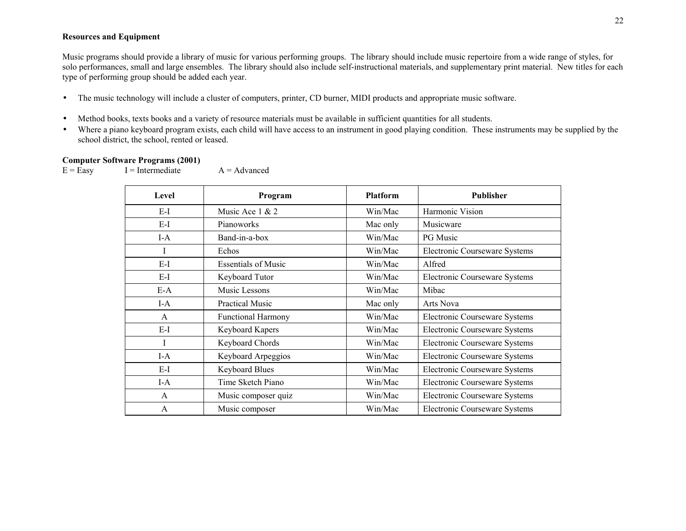#### **Resources and Equipment**

Music programs should provide a library of music for various performing groups. The library should include music repertoire from a wide range of styles, for solo performances, small and large ensembles. The library should also include self-instructional materials, and supplementary print material. New titles for each type of performing group should be added each year.

- The music technology will include a cluster of computers, printer, CD burner, MIDI products and appropriate music software.
- Method books, texts books and a variety of resource materials must be available in sufficient quantities for all students.
- Where a piano keyboard program exists, each child will have access to an instrument in good playing condition. These instruments may be supplied by the school district, the school, rented or leased.

#### **Computer Software Programs (2001)**

 $E = Easy$   $I = Intermediate$   $A = Advanced$ 

| Level        | Program                    | <b>Platform</b> | <b>Publisher</b>              |
|--------------|----------------------------|-----------------|-------------------------------|
| E-I          | Music Ace 1 & 2            | Win/Mac         | Harmonic Vision               |
| $E-I$        | Pianoworks                 | Mac only        | Musicware                     |
| $I-A$        | Band-in-a-box              | Win/Mac         | PG Music                      |
| I            | Echos                      | Win/Mac         | Electronic Courseware Systems |
| $E-I$        | <b>Essentials of Music</b> | Win/Mac         | Alfred                        |
| $E-I$        | Keyboard Tutor             | Win/Mac         | Electronic Courseware Systems |
| $E-A$        | Music Lessons              | Win/Mac         | Mibac                         |
| $I-A$        | <b>Practical Music</b>     | Mac only        | <b>Arts Nova</b>              |
| $\mathsf{A}$ | <b>Functional Harmony</b>  | Win/Mac         | Electronic Courseware Systems |
| $E-I$        | Keyboard Kapers            | Win/Mac         | Electronic Courseware Systems |
| I            | Keyboard Chords            | Win/Mac         | Electronic Courseware Systems |
| $I-A$        | Keyboard Arpeggios         | Win/Mac         | Electronic Courseware Systems |
| E-I          | <b>Keyboard Blues</b>      | Win/Mac         | Electronic Courseware Systems |
| $I-A$        | Time Sketch Piano          | Win/Mac         | Electronic Courseware Systems |
| A            | Music composer quiz        | Win/Mac         | Electronic Courseware Systems |
| $\mathsf{A}$ | Music composer             | Win/Mac         | Electronic Courseware Systems |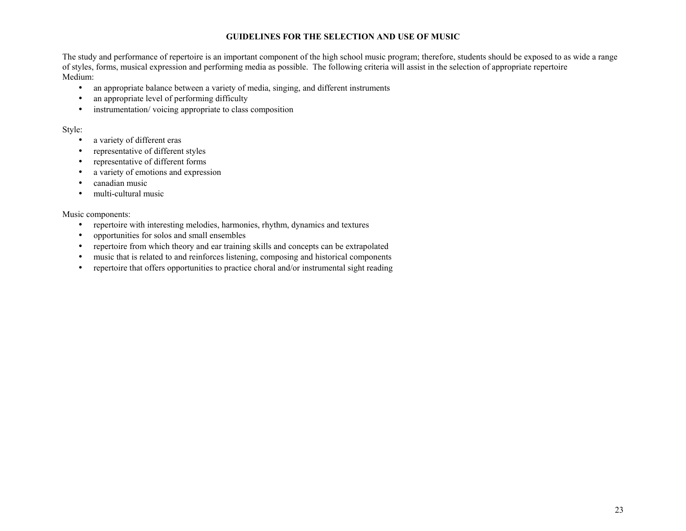#### **GUIDELINES FOR THE SELECTION AND USE OF MUSIC**

The study and performance of repertoire is an important component of the high school music program; therefore, students should be exposed to as wide a range of styles, forms, musical expression and performing media as possible. The following criteria will assist in the selection of appropriate repertoire Medium:

- an appropriate balance between a variety of media, singing, and different instruments
- an appropriate level of performing difficulty
- instrumentation/voicing appropriate to class composition

#### Style:

- a variety of different eras
- representative of different styles
- representative of different forms
- a variety of emotions and expression
- canadian music
- multi-cultural music

#### Music components:

- repertoire with interesting melodies, harmonies, rhythm, dynamics and textures
- opportunities for solos and small ensembles
- repertoire from which theory and ear training skills and concepts can be extrapolated
- music that is related to and reinforces listening, composing and historical components
- repertoire that offers opportunities to practice choral and/or instrumental sight reading